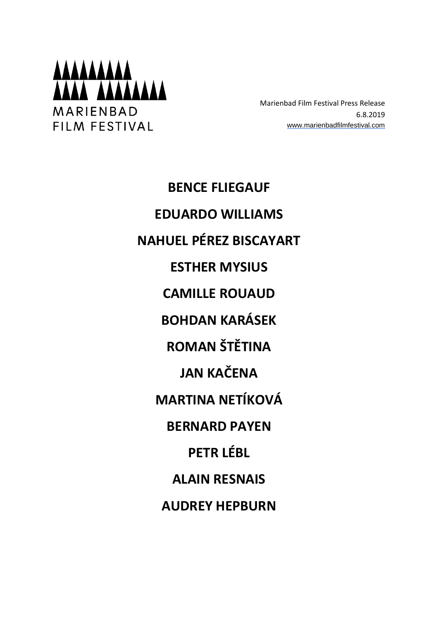

Marienbad Film Festival Press Release 6.8.2019 [www.marienbadfilmfestival.com](http://www.marienbadfilmfestival.com/)

**BENCE FLIEGAUF EDUARDO WILLIAMS NAHUEL PÉREZ BISCAYART ESTHER MYSIUS CAMILLE ROUAUD BOHDAN KARÁSEK ROMAN ŠTĚTINA JAN KAČENA MARTINA NETÍKOVÁ BERNARD PAYEN PETR LÉBL ALAIN RESNAIS AUDREY HEPBURN**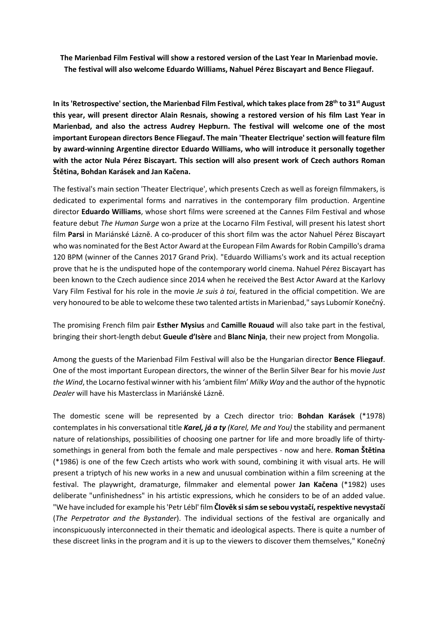**The Marienbad Film Festival will show a restored version of the Last Year In Marienbad movie. The festival will also welcome Eduardo Williams, Nahuel Pérez Biscayart and Bence Fliegauf.**

**In its'Retrospective'section, the Marienbad Film Festival, which takes place from 28th to 31st August this year, will present director Alain Resnais, showing a restored version of his film Last Year in Marienbad, and also the actress Audrey Hepburn. The festival will welcome one of the most important European directors Bence Fliegauf. The main 'Theater Electrique'section will feature film by award-winning Argentine director Eduardo Williams, who will introduce it personally together with the actor Nula Pérez Biscayart. This section will also present work of Czech authors Roman Štětina, Bohdan Karásek and Jan Kačena.**

The festival's main section 'Theater Electrique', which presents Czech as well as foreign filmmakers, is dedicated to experimental forms and narratives in the contemporary film production. Argentine director **Eduardo Williams**, whose short films were screened at the Cannes Film Festival and whose feature debut *The Human Surge* won a prize at the Locarno Film Festival, will present his latest short film **Parsi** in Mariánské Lázně. A co-producer of this short film was the actor Nahuel Pérez Biscayart who was nominated for the Best Actor Award at the European Film Awardsfor Robin Campillo's drama 120 BPM (winner of the Cannes 2017 Grand Prix). "Eduardo Williams's work and its actual reception prove that he is the undisputed hope of the contemporary world cinema. Nahuel Pérez Biscayart has been known to the Czech audience since 2014 when he received the Best Actor Award at the Karlovy Vary Film Festival for his role in the movie *Je suis à toi*, featured in the official competition. We are very honoured to be able to welcome these two talented artistsin Marienbad," says Lubomír Konečný.

The promising French film pair **Esther Mysius** and **Camille Rouaud** will also take part in the festival, bringing their short-length debut **Gueule d'Isère** and **Blanc Ninja**, their new project from Mongolia.

Among the guests of the Marienbad Film Festival will also be the Hungarian director **Bence Fliegauf**. One of the most important European directors, the winner of the Berlin Silver Bear for his movie *Just the Wind*, the Locarno festival winner with his'ambient film' *Milky Way* and the author of the hypnotic *Dealer* will have his Masterclass in Mariánské Lázně.

The domestic scene will be represented by a Czech director trio: **Bohdan Karásek** (\*1978) contemplates in his conversational title *Karel, já a ty (Karel, Me and You)* the stability and permanent nature of relationships, possibilities of choosing one partner for life and more broadly life of thirtysomethings in general from both the female and male perspectives - now and here. **Roman Štětina** (\*1986) is one of the few Czech artists who work with sound, combining it with visual arts. He will present a triptych of his new works in a new and unusual combination within a film screening at the festival. The playwright, dramaturge, filmmaker and elemental power **Jan Kačena** (\*1982) uses deliberate "unfinishedness" in his artistic expressions, which he considers to be of an added value. "We have included for example his'Petr Lébl' film **Člověk sisám se sebou vystačí, respektive nevystačí** (*The Perpetrator and the Bystander*). The individual sections of the festival are organically and inconspicuously interconnected in their thematic and ideological aspects. There is quite a number of these discreet links in the program and it is up to the viewers to discover them themselves," Konečný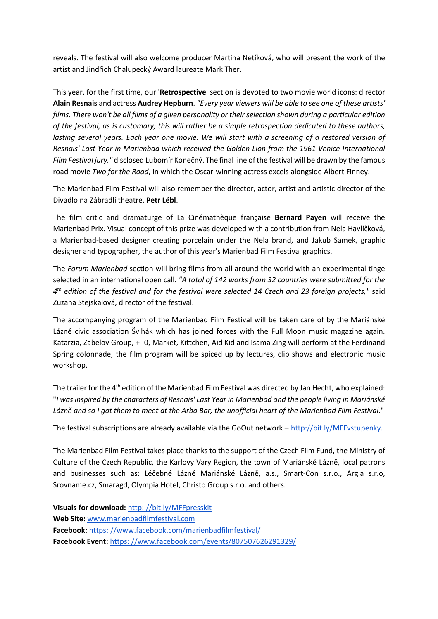reveals. The festival will also welcome producer Martina Netíková, who will present the work of the artist and Jindřich Chalupecký Award laureate Mark Ther.

This year, for the first time, our '**Retrospective**' section is devoted to two movie world icons: director **Alain Resnais** and actress **Audrey Hepburn**. *"Every year viewers will be able to see one of these artists'* films. There won't be all films of a given personality or their selection shown during a particular edition *of the festival, as is customary; this will rather be a simple retrospection dedicated to these authors,* lasting several years. Each year one movie. We will start with a screening of a restored version of *Resnais' Last Year in Marienbad which received the Golden Lion from the 1961 Venice International Film Festival jury,"* disclosed Lubomír Konečný. The final line ofthe festival will be drawn by the famous road movie *Two for the Road*, in which the Oscar-winning actress excels alongside Albert Finney.

The Marienbad Film Festival will also remember the director, actor, artist and artistic director of the Divadlo na Zábradlí theatre, **Petr Lébl**.

The film critic and dramaturge of La Cinémathèque française **Bernard Payen** will receive the Marienbad Prix. Visual concept of this prize was developed with a contribution from Nela Havlíčková, a Marienbad-based designer creating porcelain under the Nela brand, and Jakub Samek, graphic designer and typographer, the author of this year's Marienbad Film Festival graphics.

The *Forum Marienbad* section will bring films from all around the world with an experimental tinge selected in an international open call. *"A total of 142 works from 32 countries were submitted for the*  $4^{\text{th}}$  edition of the festival and for the festival were selected 14 Czech and 23 foreign projects," said Zuzana Stejskalová, director of the festival.

The accompanying program of the Marienbad Film Festival will be taken care of by the Mariánské Lázně civic association Švihák which has joined forces with the Full Moon music magazine again. Katarzia, Zabelov Group, + -0, Market, Kittchen, Aid Kid and Isama Zing will perform at the Ferdinand Spring colonnade, the film program will be spiced up by lectures, clip shows and electronic music workshop.

The trailer for the 4<sup>th</sup> edition of the Marienbad Film Festival was directed by Jan Hecht, who explained: "I was inspired by the characters of Resnais' Last Year in Marienbad and the people living in Mariánské Lázně and so I got them to meet at the Arbo Bar, the unofficial heart of the Marienbad Film Festival."

The festival subscriptions are already available via the GoOut network – [http://bit.ly/MFFvstupenky.](http://bit.ly/MFFvstupenky)

The Marienbad Film Festival takes place thanks to the support of the Czech Film Fund, the Ministry of Culture of the Czech Republic, the Karlovy Vary Region, the town of Mariánské Lázně, local patrons and businesses such as: Léčebné Lázně Mariánské Lázně, a.s., Smart-Con s.r.o., Argia s.r.o, Srovname.cz, Smaragd, Olympia Hotel, Christo Group s.r.o. and others.

**Visuals for download:** http: [//bit.ly/MFFpresskit](http://bit.ly/MFFpresskit) **Web Site:** [www.marienbadfilmfestival.com](http://www.marienbadfilmfestival.com/) **Facebook:** https: [//www.facebook.com/marienbadfilmfestival/](https://www.facebook.com/marienbadfilmfestival/) **Facebook Event:** https: [//www.facebook.com/events/807507626291329/](https://www.facebook.com/events/807507626291329/)